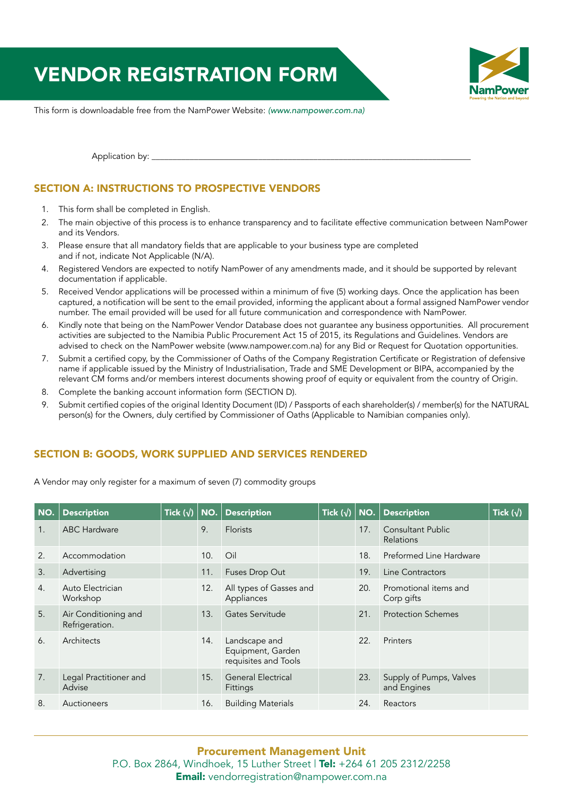# VENDOR REGISTRATION FORM



This form is downloadable free from the NamPower Website: *(www.nampower.com.na)*

Application by: \_\_

# SECTION A: INSTRUCTIONS TO PROSPECTIVE VENDORS

- 1. This form shall be completed in English.
- 2. The main objective of this process is to enhance transparency and to facilitate effective communication between NamPower and its Vendors.
- 3. Please ensure that all mandatory fields that are applicable to your business type are completed and if not, indicate Not Applicable (N/A).
- 4. Registered Vendors are expected to notify NamPower of any amendments made, and it should be supported by relevant documentation if applicable.
- 5. Received Vendor applications will be processed within a minimum of five (5) working days. Once the application has been captured, a notification will be sent to the email provided, informing the applicant about a formal assigned NamPower vendor number. The email provided will be used for all future communication and correspondence with NamPower.
- 6. Kindly note that being on the NamPower Vendor Database does not guarantee any business opportunities. All procurement activities are subjected to the Namibia Public Procurement Act 15 of 2015, its Regulations and Guidelines. Vendors are advised to check on the NamPower website (www.nampower.com.na) for any Bid or Request for Quotation opportunities.
- 7. Submit a certified copy, by the Commissioner of Oaths of the Company Registration Certificate or Registration of defensive name if applicable issued by the Ministry of Industrialisation, Trade and SME Development or BIPA, accompanied by the relevant CM forms and/or members interest documents showing proof of equity or equivalent from the country of Origin.
- 8. Complete the banking account information form (SECTION D).
- 9. Submit certified copies of the original Identity Document (ID) / Passports of each shareholder(s) / member(s) for the NATURAL person(s) for the Owners, duly certified by Commissioner of Oaths (Applicable to Namibian companies only).

## SECTION B: GOODS, WORK SUPPLIED AND SERVICES RENDERED

A Vendor may only register for a maximum of seven (7) commodity groups

| NO. | <b>Description</b>                     | Tick $(\sqrt{})$ NO. |     | <b>Description</b>                                         | Tick $(\sqrt{})$ | $\vert$ NO. | <b>Description</b>                     | Tick $(\sqrt{})$ |
|-----|----------------------------------------|----------------------|-----|------------------------------------------------------------|------------------|-------------|----------------------------------------|------------------|
| 1.  | <b>ABC Hardware</b>                    |                      | 9.  | <b>Florists</b>                                            |                  | 17.         | <b>Consultant Public</b><br>Relations  |                  |
| 2.  | Accommodation                          |                      | 10. | Oil                                                        |                  | 18.         | Preformed Line Hardware                |                  |
| 3.  | Advertising                            |                      | 11. | Fuses Drop Out                                             |                  | 19.         | Line Contractors                       |                  |
| 4.  | Auto Electrician<br>Workshop           |                      | 12. | All types of Gasses and<br>Appliances                      |                  | 20.         | Promotional items and<br>Corp gifts    |                  |
| 5.  | Air Conditioning and<br>Refrigeration. |                      | 13. | Gates Servitude                                            |                  | 21.         | <b>Protection Schemes</b>              |                  |
| 6.  | Architects                             |                      | 14. | Landscape and<br>Equipment, Garden<br>requisites and Tools |                  | 22.         | Printers                               |                  |
| 7.  | Legal Practitioner and<br>Advise       |                      | 15. | <b>General Electrical</b><br><b>Fittings</b>               |                  | 23.         | Supply of Pumps, Valves<br>and Engines |                  |
| 8.  | Auctioneers                            |                      | 16. | <b>Building Materials</b>                                  |                  | 24.         | Reactors                               |                  |

### Procurement Management Unit P.O. Box 2864, Windhoek, 15 Luther Street | Tel: +264 61 205 2312/2258 Email: vendorregistration@nampower.com.na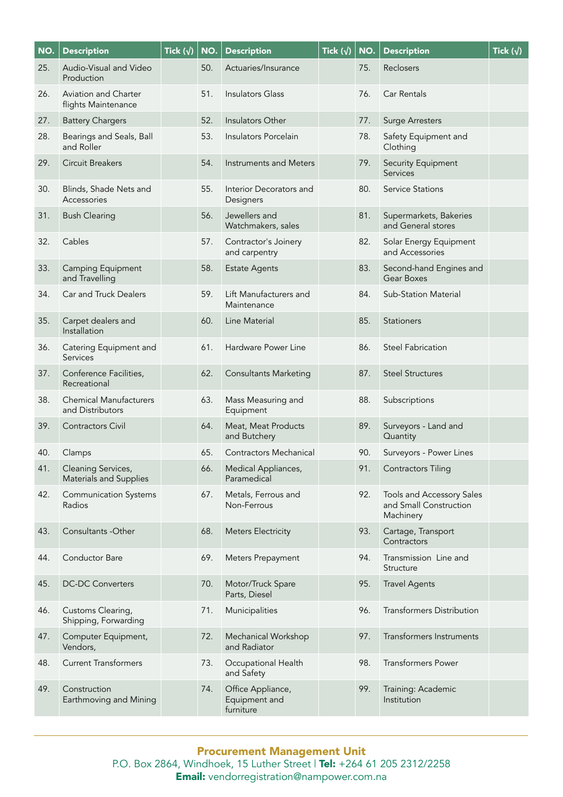| NO. | <b>Description</b>                                  | Tick $(\sqrt{})$ | NO. | <b>Description</b>                              | Tick $(\sqrt{})$ | NO. | <b>Description</b>                                               | Tick $(\sqrt{})$ |
|-----|-----------------------------------------------------|------------------|-----|-------------------------------------------------|------------------|-----|------------------------------------------------------------------|------------------|
| 25. | Audio-Visual and Video<br>Production                |                  | 50. | Actuaries/Insurance                             |                  | 75. | Reclosers                                                        |                  |
| 26. | Aviation and Charter<br>flights Maintenance         |                  | 51. | <b>Insulators Glass</b>                         |                  | 76. | Car Rentals                                                      |                  |
| 27. | <b>Battery Chargers</b>                             |                  | 52. | Insulators Other                                |                  | 77. | <b>Surge Arresters</b>                                           |                  |
| 28. | Bearings and Seals, Ball<br>and Roller              |                  | 53. | Insulators Porcelain                            |                  | 78. | Safety Equipment and<br>Clothing                                 |                  |
| 29. | Circuit Breakers                                    |                  | 54. | Instruments and Meters                          |                  | 79. | Security Equipment<br>Services                                   |                  |
| 30. | Blinds, Shade Nets and<br>Accessories               |                  | 55. | Interior Decorators and<br>Designers            |                  | 80. | <b>Service Stations</b>                                          |                  |
| 31. | <b>Bush Clearing</b>                                |                  | 56. | Jewellers and<br>Watchmakers, sales             |                  | 81. | Supermarkets, Bakeries<br>and General stores                     |                  |
| 32. | Cables                                              |                  | 57. | Contractor's Joinery<br>and carpentry           |                  | 82. | Solar Energy Equipment<br>and Accessories                        |                  |
| 33. | Camping Equipment<br>and Travelling                 |                  | 58. | <b>Estate Agents</b>                            |                  | 83. | Second-hand Engines and<br>Gear Boxes                            |                  |
| 34. | Car and Truck Dealers                               |                  | 59. | Lift Manufacturers and<br>Maintenance           |                  | 84. | <b>Sub-Station Material</b>                                      |                  |
| 35. | Carpet dealers and<br>Installation                  |                  | 60. | Line Material                                   |                  | 85. | <b>Stationers</b>                                                |                  |
| 36. | Catering Equipment and<br>Services                  |                  | 61. | Hardware Power Line                             |                  | 86. | <b>Steel Fabrication</b>                                         |                  |
| 37. | Conference Facilities,<br>Recreational              |                  | 62. | <b>Consultants Marketing</b>                    |                  | 87. | <b>Steel Structures</b>                                          |                  |
| 38. | <b>Chemical Manufacturers</b><br>and Distributors   |                  | 63. | Mass Measuring and<br>Equipment                 |                  | 88. | Subscriptions                                                    |                  |
| 39. | <b>Contractors Civil</b>                            |                  | 64. | Meat, Meat Products<br>and Butchery             |                  | 89. | Surveyors - Land and<br>Quantity                                 |                  |
| 40. | Clamps                                              |                  | 65. | <b>Contractors Mechanical</b>                   |                  | 90. | Surveyors - Power Lines                                          |                  |
| 41. | Cleaning Services,<br><b>Materials and Supplies</b> |                  | 66. | Medical Appliances,<br>Paramedical              |                  | 91. | <b>Contractors Tiling</b>                                        |                  |
| 42. | <b>Communication Systems</b><br>Radios              |                  | 67. | Metals, Ferrous and<br>Non-Ferrous              |                  | 92. | Tools and Accessory Sales<br>and Small Construction<br>Machinery |                  |
| 43. | Consultants - Other                                 |                  | 68. | <b>Meters Electricity</b>                       |                  | 93. | Cartage, Transport<br>Contractors                                |                  |
| 44. | Conductor Bare                                      |                  | 69. | Meters Prepayment                               |                  | 94. | Transmission Line and<br>Structure                               |                  |
| 45. | <b>DC-DC Converters</b>                             |                  | 70. | Motor/Truck Spare<br>Parts, Diesel              |                  | 95. | <b>Travel Agents</b>                                             |                  |
| 46. | Customs Clearing,<br>Shipping, Forwarding           |                  | 71. | Municipalities                                  |                  | 96. | Transformers Distribution                                        |                  |
| 47. | Computer Equipment,<br>Vendors,                     |                  | 72. | Mechanical Workshop<br>and Radiator             |                  | 97. | Transformers Instruments                                         |                  |
| 48. | <b>Current Transformers</b>                         |                  | 73. | Occupational Health<br>and Safety               |                  | 98. | <b>Transformers Power</b>                                        |                  |
| 49. | Construction<br>Earthmoving and Mining              |                  | 74. | Office Appliance,<br>Equipment and<br>furniture |                  | 99. | Training: Academic<br>Institution                                |                  |

Procurement Management Unit P.O. Box 2864, Windhoek, 15 Luther Street | **Tel:** +264 61 205 2312/2258 **Email:** vendorregistration@nampower.com.na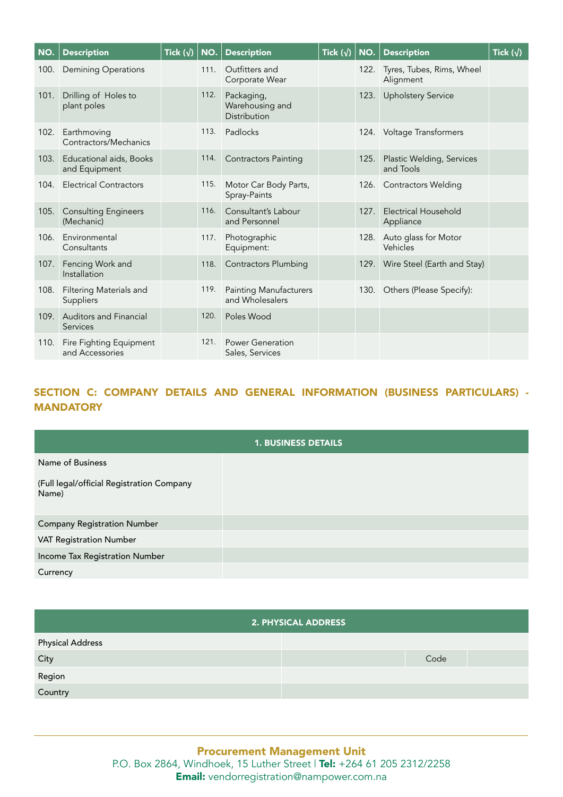| NO.  | <b>Description</b>                         | Tick $(\sqrt{})$ | NO.  | <b>Description</b>                               | Tick $(\sqrt{})$ | NO.  | <b>Description</b>                     | Tick $(\sqrt{})$ |
|------|--------------------------------------------|------------------|------|--------------------------------------------------|------------------|------|----------------------------------------|------------------|
| 100. | <b>Demining Operations</b>                 |                  | 111. | Outfitters and<br>Corporate Wear                 |                  | 122. | Tyres, Tubes, Rims, Wheel<br>Alignment |                  |
| 101. | Drilling of Holes to<br>plant poles        |                  | 112. | Packaging,<br>Warehousing and<br>Distribution    |                  | 123. | <b>Upholstery Service</b>              |                  |
| 102. | Earthmoving<br>Contractors/Mechanics       |                  | 113. | Padlocks                                         |                  |      | 124. Voltage Transformers              |                  |
| 103. | Educational aids, Books<br>and Equipment   |                  | 114. | <b>Contractors Painting</b>                      |                  | 125. | Plastic Welding, Services<br>and Tools |                  |
| 104. | <b>Electrical Contractors</b>              |                  | 115. | Motor Car Body Parts,<br>Spray-Paints            |                  |      | 126. Contractors Welding               |                  |
| 105. | <b>Consulting Engineers</b><br>(Mechanic)  |                  | 116. | Consultant's Labour<br>and Personnel             |                  | 127. | Electrical Household<br>Appliance      |                  |
| 106. | Environmental<br>Consultants               |                  | 117. | Photographic<br>Equipment:                       |                  | 128. | Auto glass for Motor<br>Vehicles       |                  |
| 107. | Fencing Work and<br>Installation           |                  | 118. | <b>Contractors Plumbing</b>                      |                  |      | 129. Wire Steel (Earth and Stay)       |                  |
| 108. | Filtering Materials and<br>Suppliers       |                  | 119. | <b>Painting Manufacturers</b><br>and Wholesalers |                  |      | 130. Others (Please Specify):          |                  |
| 109. | <b>Auditors and Financial</b><br>Services  |                  | 120. | Poles Wood                                       |                  |      |                                        |                  |
| 110. | Fire Fighting Equipment<br>and Accessories |                  | 121. | <b>Power Generation</b><br>Sales, Services       |                  |      |                                        |                  |

# SECTION C: COMPANY DETAILS AND GENERAL INFORMATION (BUSINESS PARTICULARS) - **MANDATORY**

| <b>1. BUSINESS DETAILS</b>                         |  |  |
|----------------------------------------------------|--|--|
| Name of Business                                   |  |  |
| (Full legal/official Registration Company<br>Name) |  |  |
| <b>Company Registration Number</b>                 |  |  |
| <b>VAT Registration Number</b>                     |  |  |
| Income Tax Registration Number                     |  |  |
| Currency                                           |  |  |

#### 2. PHYSICAL ADDRESS

| <b>Physical Address</b> |      |
|-------------------------|------|
| City                    | Code |
| Region                  |      |
| Country                 |      |

Procurement Management Unit P.O. Box 2864, Windhoek, 15 Luther Street | Tel: +264 61 205 2312/2258 Email: vendorregistration@nampower.com.na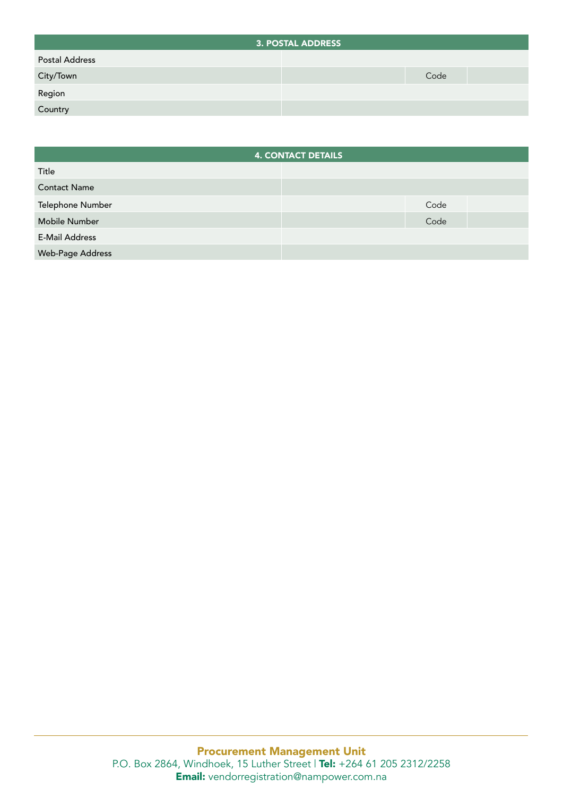|                | <b>3. POSTAL ADDRESS</b> |
|----------------|--------------------------|
| Postal Address |                          |
| City/Town      | Code                     |
| Region         |                          |
| Country        |                          |

|                       | <b>4. CONTACT DETAILS</b> |  |
|-----------------------|---------------------------|--|
| Title                 |                           |  |
| <b>Contact Name</b>   |                           |  |
| Telephone Number      | Code                      |  |
| <b>Mobile Number</b>  | Code                      |  |
| <b>E-Mail Address</b> |                           |  |
| Web-Page Address      |                           |  |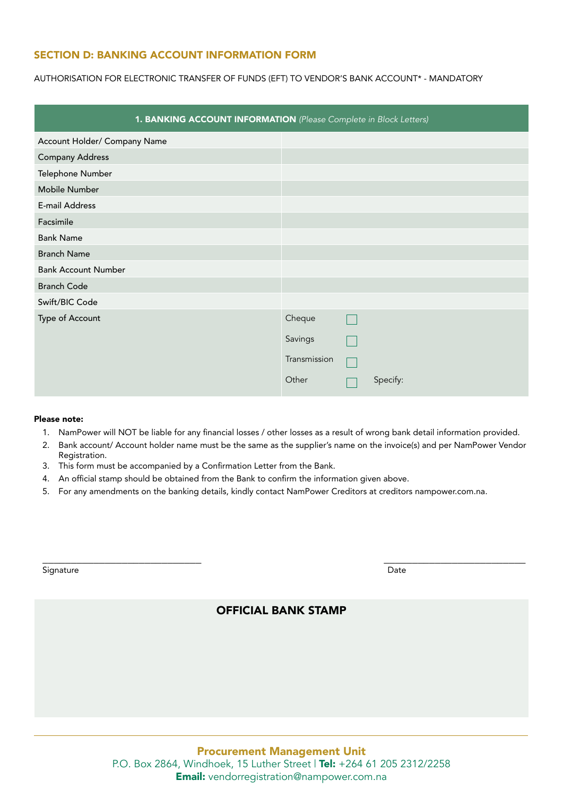### SECTION D: BANKING ACCOUNT INFORMATION FORM

AUTHORISATION FOR ELECTRONIC TRANSFER OF FUNDS (EFT) TO VENDOR'S BANK ACCOUNT\* - MANDATORY

|                              | 1. BANKING ACCOUNT INFORMATION (Please Complete in Block Letters) |
|------------------------------|-------------------------------------------------------------------|
| Account Holder/ Company Name |                                                                   |
| <b>Company Address</b>       |                                                                   |
| Telephone Number             |                                                                   |
| Mobile Number                |                                                                   |
| E-mail Address               |                                                                   |
| Facsimile                    |                                                                   |
| <b>Bank Name</b>             |                                                                   |
| <b>Branch Name</b>           |                                                                   |
| <b>Bank Account Number</b>   |                                                                   |
| <b>Branch Code</b>           |                                                                   |
| Swift/BIC Code               |                                                                   |
| Type of Account              | Cheque                                                            |
|                              | Savings                                                           |
|                              | Transmission                                                      |
|                              | Other<br>Specify:                                                 |

#### Please note:

- 1. NamPower will NOT be liable for any financial losses / other losses as a result of wrong bank detail information provided.
- 2. Bank account/ Account holder name must be the same as the supplier's name on the invoice(s) and per NamPower Vendor Registration.
- 3. This form must be accompanied by a Confirmation Letter from the Bank.
- 4. An official stamp should be obtained from the Bank to confirm the information given above.
- 5. For any amendments on the banking details, kindly contact NamPower Creditors at creditors nampower.com.na.

| Signature | Date |
|-----------|------|
| $ -$      | $ -$ |

# OFFICIAL BANK STAMP